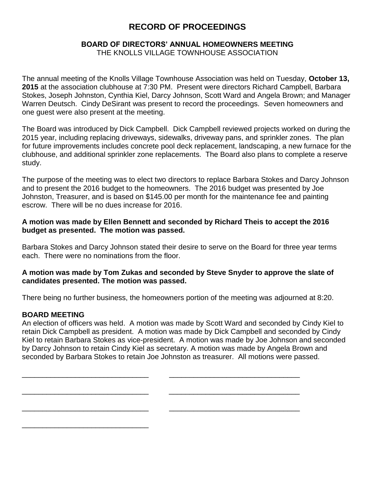# **RECORD OF PROCEEDINGS**

### **BOARD OF DIRECTORS' ANNUAL HOMEOWNERS MEETING** THE KNOLLS VILLAGE TOWNHOUSE ASSOCIATION

The annual meeting of the Knolls Village Townhouse Association was held on Tuesday, **October 13, 2015** at the association clubhouse at 7:30 PM. Present were directors Richard Campbell, Barbara Stokes, Joseph Johnston, Cynthia Kiel, Darcy Johnson, Scott Ward and Angela Brown; and Manager Warren Deutsch. Cindy DeSirant was present to record the proceedings. Seven homeowners and one guest were also present at the meeting.

The Board was introduced by Dick Campbell. Dick Campbell reviewed projects worked on during the 2015 year, including replacing driveways, sidewalks, driveway pans, and sprinkler zones. The plan for future improvements includes concrete pool deck replacement, landscaping, a new furnace for the clubhouse, and additional sprinkler zone replacements. The Board also plans to complete a reserve study.

The purpose of the meeting was to elect two directors to replace Barbara Stokes and Darcy Johnson and to present the 2016 budget to the homeowners. The 2016 budget was presented by Joe Johnston, Treasurer, and is based on \$145.00 per month for the maintenance fee and painting escrow. There will be no dues increase for 2016.

## **A motion was made by Ellen Bennett and seconded by Richard Theis to accept the 2016 budget as presented. The motion was passed.**

Barbara Stokes and Darcy Johnson stated their desire to serve on the Board for three year terms each. There were no nominations from the floor.

## **A motion was made by Tom Zukas and seconded by Steve Snyder to approve the slate of candidates presented. The motion was passed.**

There being no further business, the homeowners portion of the meeting was adjourned at 8:20.

## **BOARD MEETING**

\_\_\_\_\_\_\_\_\_\_\_\_\_\_\_\_\_\_\_\_\_\_\_\_\_\_\_\_\_\_\_

An election of officers was held. A motion was made by Scott Ward and seconded by Cindy Kiel to retain Dick Campbell as president. A motion was made by Dick Campbell and seconded by Cindy Kiel to retain Barbara Stokes as vice-president. A motion was made by Joe Johnson and seconded by Darcy Johnson to retain Cindy Kiel as secretary. A motion was made by Angela Brown and seconded by Barbara Stokes to retain Joe Johnston as treasurer. All motions were passed.

\_\_\_\_\_\_\_\_\_\_\_\_\_\_\_\_\_\_\_\_\_\_\_\_\_\_\_\_\_\_\_ \_\_\_\_\_\_\_\_\_\_\_\_\_\_\_\_\_\_\_\_\_\_\_\_\_\_\_\_\_\_\_\_

\_\_\_\_\_\_\_\_\_\_\_\_\_\_\_\_\_\_\_\_\_\_\_\_\_\_\_\_\_\_\_ \_\_\_\_\_\_\_\_\_\_\_\_\_\_\_\_\_\_\_\_\_\_\_\_\_\_\_\_\_\_\_\_

\_\_\_\_\_\_\_\_\_\_\_\_\_\_\_\_\_\_\_\_\_\_\_\_\_\_\_\_\_\_\_ \_\_\_\_\_\_\_\_\_\_\_\_\_\_\_\_\_\_\_\_\_\_\_\_\_\_\_\_\_\_\_\_